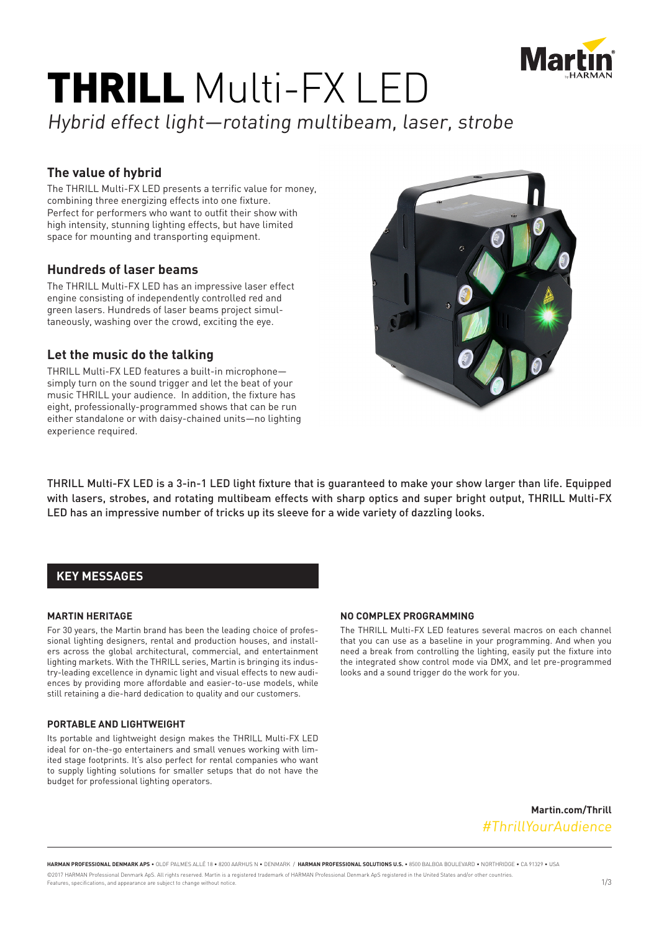

# THRILL Multi-FX LED

# Hybrid effect light—rotating multibeam, laser, strobe

# **The value of hybrid**

The THRILL Multi-FX LED presents a terrific value for money, combining three energizing effects into one fixture. Perfect for performers who want to outfit their show with high intensity, stunning lighting effects, but have limited space for mounting and transporting equipment.

# **Hundreds of laser beams**

The THRILL Multi-FX LED has an impressive laser effect engine consisting of independently controlled red and green lasers. Hundreds of laser beams project simultaneously, washing over the crowd, exciting the eye.

### **Let the music do the talking**

THRILL Multi-FX LED features a built-in microphone simply turn on the sound trigger and let the beat of your music THRILL your audience. In addition, the fixture has eight, professionally-programmed shows that can be run either standalone or with daisy-chained units—no lighting experience required.



THRILL Multi-FX LED is a 3-in-1 LED light fixture that is guaranteed to make your show larger than life. Equipped with lasers, strobes, and rotating multibeam effects with sharp optics and super bright output, THRILL Multi-FX LED has an impressive number of tricks up its sleeve for a wide variety of dazzling looks.

# **KEY MESSAGES**

#### **MARTIN HERITAGE**

For 30 years, the Martin brand has been the leading choice of professional lighting designers, rental and production houses, and installers across the global architectural, commercial, and entertainment lighting markets. With the THRILL series, Martin is bringing its industry-leading excellence in dynamic light and visual effects to new audiences by providing more affordable and easier-to-use models, while still retaining a die-hard dedication to quality and our customers.

#### **PORTABLE AND LIGHTWEIGHT**

Its portable and lightweight design makes the THRILL Multi-FX LED ideal for on-the-go entertainers and small venues working with limited stage footprints. It's also perfect for rental companies who want to supply lighting solutions for smaller setups that do not have the budget for professional lighting operators.

#### **NO COMPLEX PROGRAMMING**

The THRILL Multi-FX LED features several macros on each channel that you can use as a baseline in your programming. And when you need a break from controlling the lighting, easily put the fixture into the integrated show control mode via DMX, and let pre-programmed looks and a sound trigger do the work for you.

> **Martin.com/Thrill** #ThrillYourAudience

**HARMAN PROFESSIONAL DENMARK APS** • OLOF PALMES ALLÉ 18 • 8200 AARHUS N • DENMARK / **HARMAN PROFESSIONAL SOLUTIONS U.S.** • 8500 BALBOA BOULEVARD • NORTHRIDGE • CA 91329 • USA ©2017 HARMAN Professional Denmark ApS. All rights reserved. Martin is a registered trademark of HARMAN Professional Denmark ApS registered in the United States and/or other countries. Eastly es a configuration and appearance are subject to change without notice.<br>Features, specifications, and appearance are subject to change without notice.